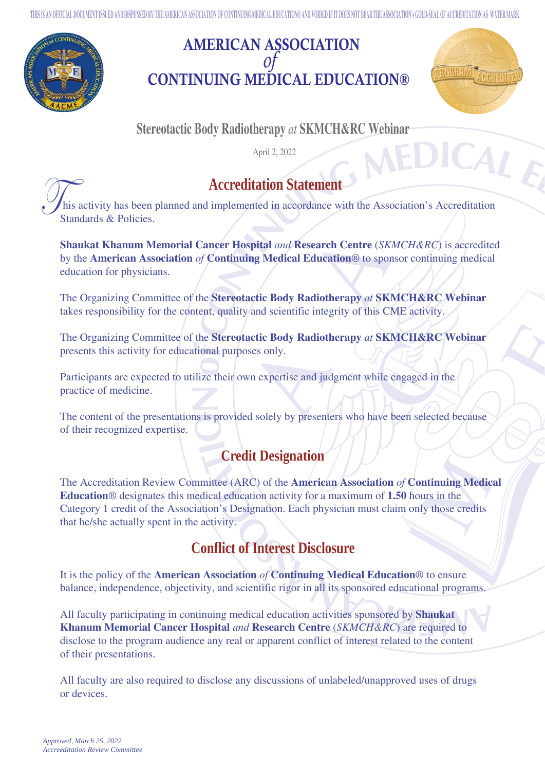**THIS IS AN OFFICIAL DOCUMENT ISSUED AND DISPENSED BY THE AMERICAN ASSOCIATION OF CONTINUING MEDICAL EDUCATION® AND VOIDED IF IT DOES NOT BEAR THE ASSOCIATION's GOLD-SEAL OF ACCREDITATION AS WATER MARK**



## AMERICAN ASSOCIATION *of* CONTINUING MEDICAL EDUCATION®



ME

### **Stereotactic Body Radiotherapy** *at* **SKMCH&RC Webinar**

April 2, 2022



# **Accreditation Statement**

 his activity has been planned and implemented in accordance with the Association's Accreditation Standards & Policies.

**Shaukat Khanum Memorial Cancer Hospital** *and* **Research Centre** (*SKMCH&RC*) is accredited by the **American Association** *of* **Continuing Medical Education**® to sponsor continuing medical education for physicians.

The Organizing Committee of the **Stereotactic Body Radiotherapy** *at* **SKMCH&RC Webinar**  takes responsibility for the content, quality and scientific integrity of this CME activity.

The Organizing Committee of the **Stereotactic Body Radiotherapy** *at* **SKMCH&RC Webinar**  presents this activity for educational purposes only.

Participants are expected to utilize their own expertise and judgment while engaged in the practice of medicine.

The content of the presentations is provided solely by presenters who have been selected because of their recognized expertise.

#### **Credit Designation**

The Accreditation Review Committee (ARC) of the **American Association** *of* **Continuing Medical Education**® designates this medical education activity for a maximum of **1.50** hours in the Category 1 credit of the Association's Designation. Each physician must claim only those credits that he/she actually spent in the activity.

### **Conflict of Interest Disclosure**

It is the policy of the **American Association** *of* **Continuing Medical Education**® to ensure balance, independence, objectivity, and scientific rigor in all its sponsored educational programs.

All faculty participating in continuing medical education activities sponsored by **Shaukat Khanum Memorial Cancer Hospital** *and* **Research Centre** (*SKMCH&RC*) are required to disclose to the program audience any real or apparent conflict of interest related to the content of their presentations.

All faculty are also required to disclose any discussions of unlabeled/unapproved uses of drugs or devices.